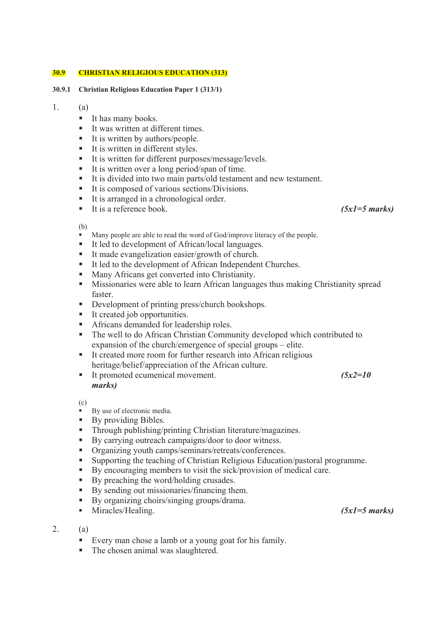## **30.9 CHRISTIAN RELIGIOUS EDUCATION (313)**

## **30.9.1 Christian Religious Education Paper 1 (313/1)**

# 1. (a)

- It has many books.
- It was written at different times.
- It is written by authors/people.
- It is written in different styles.
- It is written for different purposes/message/levels.
- It is written over a long period/span of time.
- It is divided into two main parts/old testament and new testament.
- It is composed of various sections/Divisions.
- It is arranged in a chronological order.
- It is a reference book. *(5x1=5 marks)*

(b)

- $\overrightarrow{M}$  Many people are able to read the word of God/improve literacy of the people.
- It led to development of African/local languages.
- It made evangelization easier/growth of church.
- It led to the development of African Independent Churches.
- **Many Africans get converted into Christianity.**
- **Missionaries were able to learn African languages thus making Christianity spread** faster.
- Development of printing press/church bookshops.
- It created job opportunities.
- **Africans demanded for leadership roles.**
- The well to do African Christian Community developed which contributed to expansion of the church/emergence of special groups – elite.
- It created more room for further research into African religious heritage/belief/appreciation of the African culture.
- It promoted ecumenical movement. *(5x2=10 marks)*

(c)

- By use of electronic media.
- By providing Bibles.
- Through publishing/printing Christian literature/magazines.
- By carrying outreach campaigns/door to door witness.
- Organizing youth camps/seminars/retreats/conferences.
- Supporting the teaching of Christian Religious Education/pastoral programme.
- By encouraging members to visit the sick/provision of medical care.
- By preaching the word/holding crusades.
- By sending out missionaries/financing them.
- By organizing choirs/singing groups/drama.
- Miracles/Healing. *(5x1=5 marks)*
- 2. (a)
	- Every man chose a lamb or a young goat for his family.
	- The chosen animal was slaughtered.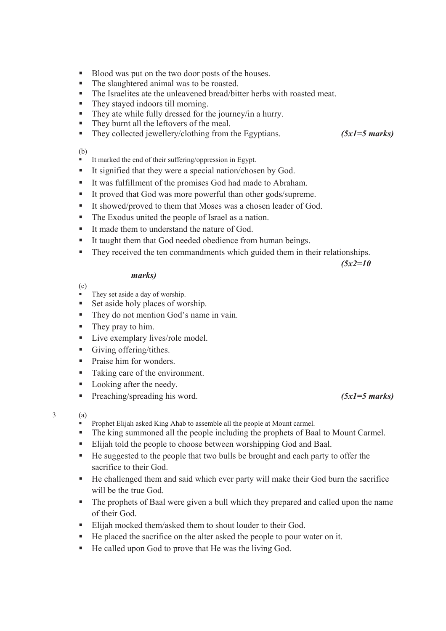- Blood was put on the two door posts of the houses.
- The slaughtered animal was to be roasted.
- The Israelites ate the unleavened bread/bitter herbs with roasted meat.
- They stayed indoors till morning.
- They ate while fully dressed for the journey/in a hurry.
- They burnt all the leftovers of the meal.
- They collected jewellery/clothing from the Egyptians. *(5x1=5 marks)*

# (b)

- It marked the end of their suffering/oppression in Egypt.
- It signified that they were a special nation/chosen by God.
- It was fulfillment of the promises God had made to Abraham.
- It proved that God was more powerful than other gods/supreme.
- It showed/proved to them that Moses was a chosen leader of God.
- The Exodus united the people of Israel as a nation.
- It made them to understand the nature of God.
- It taught them that God needed obedience from human beings.
- They received the ten commandments which guided them in their relationships.

*(5x2=10* 

# *marks)*

- (c)
- $\overrightarrow{ }$  They set aside a day of worship.
- Set aside holy places of worship.
- They do not mention God's name in vain.
- They pray to him.
- **Live exemplary lives/role model.**
- Giving offering/tithes.
- Praise him for wonders.
- Taking care of the environment.
- Looking after the needy.
- Preaching/spreading his word. *(5x1=5 marks)*

# $3$  (a)

- Prophet Elijah asked King Ahab to assemble all the people at Mount carmel.
- The king summoned all the people including the prophets of Baal to Mount Carmel.
- Elijah told the people to choose between worshipping God and Baal.
- He suggested to the people that two bulls be brought and each party to offer the sacrifice to their God.
- He challenged them and said which ever party will make their God burn the sacrifice will be the true God.
- The prophets of Baal were given a bull which they prepared and called upon the name of their God.
- Elijah mocked them/asked them to shout louder to their God.
- He placed the sacrifice on the alter asked the people to pour water on it.
- He called upon God to prove that He was the living God.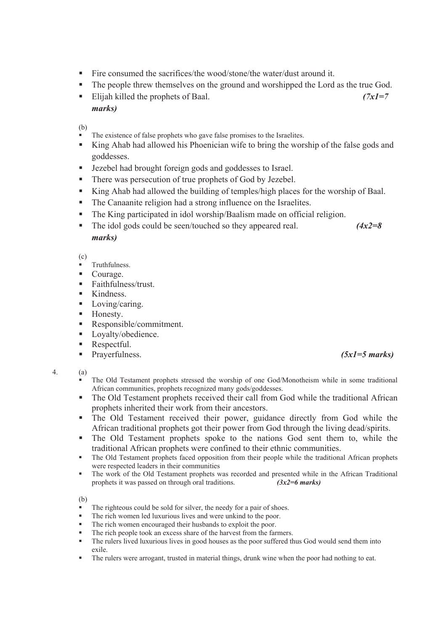- Fire consumed the sacrifices/the wood/stone/the water/dust around it.
- The people threw themselves on the ground and worshipped the Lord as the true God.
- Elijah killed the prophets of Baal. *(7x1=7 marks)*

(b)

- The existence of false prophets who gave false promises to the Israelites.
- King Ahab had allowed his Phoenician wife to bring the worship of the false gods and goddesses.
- Jezebel had brought foreign gods and goddesses to Israel.
- There was persecution of true prophets of God by Jezebel.
- King Ahab had allowed the building of temples/high places for the worship of Baal.
- The Canaanite religion had a strong influence on the Israelites.
- The King participated in idol worship/Baalism made on official religion.
- The idol gods could be seen/touched so they appeared real. *(4x2=8) marks)*

(c)

- Truthfulness.
- Courage.
- Faithfulness/trust
- Kindness.
- **Loving/caring.**
- **Honesty.**
- Responsible/commitment.
- **Loyalty/obedience.**
- Respectful.
- Prayerfulness. *(5x1=5 marks)*

- The Old Testament prophets stressed the worship of one God/Monotheism while in some traditional African communities, prophets recognized many gods/goddesses.
- The Old Testament prophets received their call from God while the traditional African prophets inherited their work from their ancestors.
- The Old Testament received their power, guidance directly from God while the African traditional prophets got their power from God through the living dead/spirits.
- The Old Testament prophets spoke to the nations God sent them to, while the traditional African prophets were confined to their ethnic communities.
- The Old Testament prophets faced opposition from their people while the traditional African prophets were respected leaders in their communities
- The work of the Old Testament prophets was recorded and presented while in the African Traditional prophets it was passed on through oral traditions.  $(3x^2=6 \text{ marks})$ prophets it was passed on through oral traditions.

(b)

- The righteous could be sold for silver, the needy for a pair of shoes.
- The rich women led luxurious lives and were unkind to the poor.
- The rich women encouraged their husbands to exploit the poor.
- The rich people took an excess share of the harvest from the farmers.
- The rulers lived luxurious lives in good houses as the poor suffered thus God would send them into exile.
- The rulers were arrogant, trusted in material things, drunk wine when the poor had nothing to eat.

<sup>4. (</sup>a)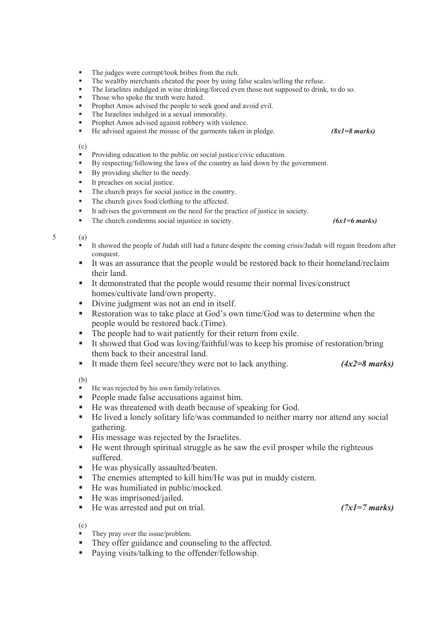- The judges were corrupt/took bribes from the rich.
- The wealthy merchants cheated the poor by using false scales/selling the refuse.
- The Israelites indulged in wine drinking/forced even those not supposed to drink, to do so.
- Those who spoke the truth were hated.
- Prophet Amos advised the people to seek good and avoid evil.
- The Israelites indulged in a sexual immorality.
- Prophet Amos advised against robbery with violence.
- He advised against the misuse of the garments taken in pledge. *(8x1=8 marks)*

(c)

- Providing education to the public on social justice/civic education.
- By respecting/following the laws of the country as laid down by the government.
- By providing shelter to the needy.
- It preaches on social justice.
- The church prays for social justice in the country.
- The church gives food/clothing to the affected.
- It advises the government on the need for the practice of justice in society.

■ The church condemns social injustice in society. *(6x1=6 marks)* 

### 5 (a)

- $\blacksquare$  It showed the people of Judah still had a future despite the coming crisis/Judah will regain freedom after conquest.
- It was an assurance that the people would be restored back to their homeland/reclaim their land.
- It demonstrated that the people would resume their normal lives/construct homes/cultivate land/own property.
- Divine judgment was not an end in itself.
- Restoration was to take place at God's own time/God was to determine when the people would be restored back.(Time).
- The people had to wait patiently for their return from exile.
- It showed that God was loving/faithful/was to keep his promise of restoration/bring them back to their ancestral land.
- It made them feel secure/they were not to lack anything. *(4x2=8 marks)*

(b)

- He was rejected by his own family/relatives.
- People made false accusations against him.
- He was threatened with death because of speaking for God.
- He lived a lonely solitary life/was commanded to neither marry nor attend any social gathering.
- His message was rejected by the Israelites.
- $\blacksquare$  He went through spiritual struggle as he saw the evil prosper while the righteous suffered.
- He was physically assaulted/beaten.
- The enemies attempted to kill him/He was put in muddy cistern.
- He was humiliated in public/mocked.
- He was imprisoned/jailed.
- He was arrested and put on trial. *(7x1=7 marks)*

(c)

- They pray over the issue/problem.
- They offer guidance and counseling to the affected.
- Paying visits/talking to the offender/fellowship.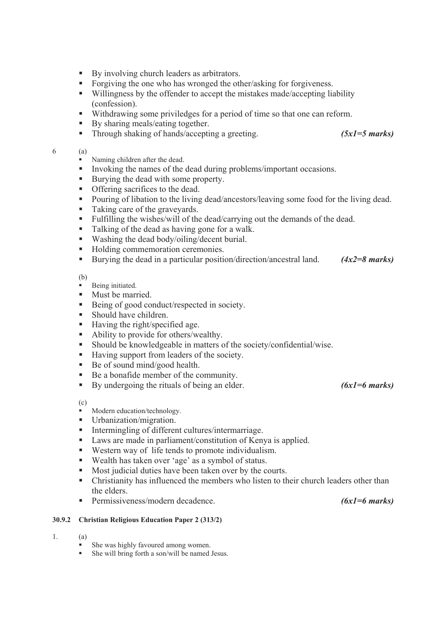- By involving church leaders as arbitrators.
- Forgiving the one who has wronged the other/asking for forgiveness.
- Willingness by the offender to accept the mistakes made/accepting liability (confession).
- Withdrawing some priviledges for a period of time so that one can reform.
- By sharing meals/eating together.
- Through shaking of hands/accepting a greeting. *(5x1=5 marks)*

### 6 (a)

- Naming children after the dead.
- Invoking the names of the dead during problems/important occasions.
- Burying the dead with some property.
- **•** Offering sacrifices to the dead.
- **Pouring of libation to the living dead/ancestors/leaving some food for the living dead.**
- Taking care of the graveyards.
- Fulfilling the wishes/will of the dead/carrying out the demands of the dead.
- Talking of the dead as having gone for a walk.
- Washing the dead body/oiling/decent burial.
- Holding commemoration ceremonies.
- Burying the dead in a particular position/direction/ancestral land. *(4x2=8 marks)*

(b)

- Being initiated.
- Must be married.
- Being of good conduct/respected in society.
- Should have children.
- Having the right/specified age.
- Ability to provide for others/wealthy.
- Should be knowledgeable in matters of the society/confidential/wise.
- Having support from leaders of the society.
- Be of sound mind/good health.
- Be a bonafide member of the community.
- By undergoing the rituals of being an elder. *(6x1=6 marks)*

(c)

- Modern education/technology.
- **Urbanization/migration.**
- Intermingling of different cultures/intermarriage.
- Laws are made in parliament/constitution of Kenya is applied.
- Western way of life tends to promote individualism.
- Wealth has taken over 'age' as a symbol of status.
- Most judicial duties have been taken over by the courts.
- Christianity has influenced the members who listen to their church leaders other than the elders.
- Permissiveness/modern decadence. *(6x1=6 marks)*

# **30.9.2 Christian Religious Education Paper 2 (313/2)**

- 1. (a)
	- She was highly favoured among women.
	- She will bring forth a son/will be named Jesus.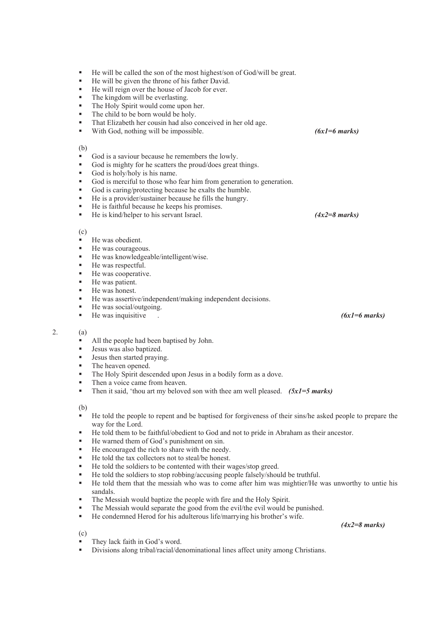| ٠<br>٠<br>٠<br>٠<br>٠<br>٠<br>٠<br>٠ | He will be called the son of the most highest/son of God/will be great.<br>He will be given the throne of his father David.<br>He will reign over the house of Jacob for ever.<br>The kingdom will be everlasting.<br>The Holy Spirit would come upon her.<br>The child to be born would be holy.<br>That Elizabeth her cousin had also conceived in her old age.<br>With God, nothing will be impossible. | $(6x1=6$ marks) |
|--------------------------------------|------------------------------------------------------------------------------------------------------------------------------------------------------------------------------------------------------------------------------------------------------------------------------------------------------------------------------------------------------------------------------------------------------------|-----------------|
| (b)                                  |                                                                                                                                                                                                                                                                                                                                                                                                            |                 |
| ٠<br>٠                               | God is a saviour because he remembers the lowly.<br>God is mighty for he scatters the proud/does great things.                                                                                                                                                                                                                                                                                             |                 |
| ٠                                    | God is holy/holy is his name.                                                                                                                                                                                                                                                                                                                                                                              |                 |
| ٠                                    | God is merciful to those who fear him from generation to generation.                                                                                                                                                                                                                                                                                                                                       |                 |
| ٠                                    | God is caring/protecting because he exalts the humble.                                                                                                                                                                                                                                                                                                                                                     |                 |
| ٠                                    | He is a provider/sustainer because he fills the hungry.                                                                                                                                                                                                                                                                                                                                                    |                 |
| ٠                                    | He is faithful because he keeps his promises.                                                                                                                                                                                                                                                                                                                                                              |                 |
| ٠                                    | He is kind/helper to his servant Israel.                                                                                                                                                                                                                                                                                                                                                                   | $(4x2=8$ marks) |
| (c)                                  |                                                                                                                                                                                                                                                                                                                                                                                                            |                 |
| ٠                                    | He was obedient.                                                                                                                                                                                                                                                                                                                                                                                           |                 |
| ٠                                    | He was courageous.                                                                                                                                                                                                                                                                                                                                                                                         |                 |
| ٠                                    | He was knowledgeable/intelligent/wise.                                                                                                                                                                                                                                                                                                                                                                     |                 |
| ٠                                    | He was respectful.                                                                                                                                                                                                                                                                                                                                                                                         |                 |
| ٠                                    | He was cooperative.                                                                                                                                                                                                                                                                                                                                                                                        |                 |
| ٠                                    | He was patient.                                                                                                                                                                                                                                                                                                                                                                                            |                 |
| ٠                                    | He was honest.                                                                                                                                                                                                                                                                                                                                                                                             |                 |
| ٠                                    | He was assertive/independent/making independent decisions.                                                                                                                                                                                                                                                                                                                                                 |                 |
| ٠<br>٠                               | He was social/outgoing.                                                                                                                                                                                                                                                                                                                                                                                    | $(6x1=6$ marks) |
|                                      | He was inquisitive                                                                                                                                                                                                                                                                                                                                                                                         |                 |
| (a)                                  |                                                                                                                                                                                                                                                                                                                                                                                                            |                 |
| ٠                                    | All the people had been baptised by John.                                                                                                                                                                                                                                                                                                                                                                  |                 |
| ٠                                    | Jesus was also baptized.                                                                                                                                                                                                                                                                                                                                                                                   |                 |
| ٠                                    | Jesus then started praying.                                                                                                                                                                                                                                                                                                                                                                                |                 |
| ٠                                    | The heaven opened.                                                                                                                                                                                                                                                                                                                                                                                         |                 |
| ٠<br>٠                               | The Holy Spirit descended upon Jesus in a bodily form as a dove.                                                                                                                                                                                                                                                                                                                                           |                 |
| ٠                                    | Then a voice came from heaven.<br>Then it said, 'thou art my beloved son with thee am well pleased. $(5x1=5 marks)$                                                                                                                                                                                                                                                                                        |                 |
|                                      |                                                                                                                                                                                                                                                                                                                                                                                                            |                 |
| (b)                                  |                                                                                                                                                                                                                                                                                                                                                                                                            |                 |
| ٠                                    | He told the people to repent and be baptised for forgiveness of their sins/he asked people to prepare the                                                                                                                                                                                                                                                                                                  |                 |
|                                      | way for the Lord.                                                                                                                                                                                                                                                                                                                                                                                          |                 |
| ٠                                    | He told them to be faithful/obedient to God and not to pride in Abraham as their ancestor.                                                                                                                                                                                                                                                                                                                 |                 |
| ٠<br>٠                               | He warned them of God's punishment on sin.<br>He encouraged the rich to share with the needy.                                                                                                                                                                                                                                                                                                              |                 |
| ٠                                    | He told the tax collectors not to steal/be honest.                                                                                                                                                                                                                                                                                                                                                         |                 |
| ٠                                    | He told the soldiers to be contented with their wages/stop greed.                                                                                                                                                                                                                                                                                                                                          |                 |
| ٠                                    | He told the soldiers to stop robbing/accusing people falsely/should be truthful.                                                                                                                                                                                                                                                                                                                           |                 |
| ٠                                    | He told them that the messiah who was to come after him was mightier/He was unworthy to untie his                                                                                                                                                                                                                                                                                                          |                 |
|                                      | sandals.                                                                                                                                                                                                                                                                                                                                                                                                   |                 |
| ٠                                    | The Messiah would baptize the people with fire and the Holy Spirit.                                                                                                                                                                                                                                                                                                                                        |                 |
| ٠                                    | The Messiah would separate the good from the evil/the evil would be punished.                                                                                                                                                                                                                                                                                                                              |                 |
| ٠                                    | He condemned Herod for his adulterous life/marrying his brother's wife.                                                                                                                                                                                                                                                                                                                                    |                 |
|                                      |                                                                                                                                                                                                                                                                                                                                                                                                            | $(4x2=8$ marks) |
| (c)                                  |                                                                                                                                                                                                                                                                                                                                                                                                            |                 |

**They lack faith in God's word.** 

 $2.$ 

Divisions along tribal/racial/denominational lines affect unity among Christians.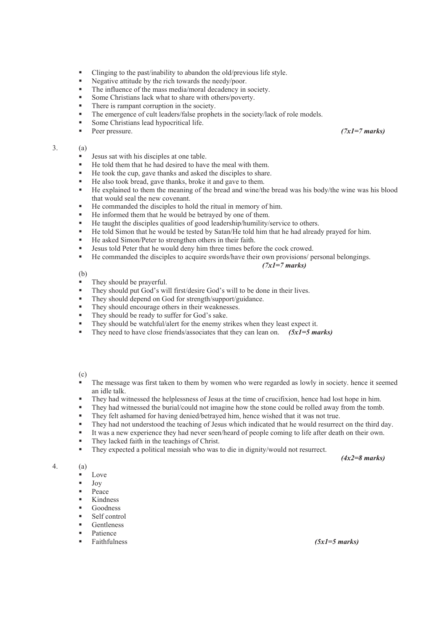- Clinging to the past/inability to abandon the old/previous life style.
- Negative attitude by the rich towards the needy/poor.<br>The influence of the mass media/moral decadency in
- The influence of the mass media/moral decadency in society.
- Some Christians lack what to share with others/poverty.
- There is rampant corruption in the society.
- The emergence of cult leaders/false prophets in the society/lack of role models.
- Some Christians lead hypocritical life.
- Peer pressure. *(7x1=7 marks)*

## 3. (a)

- **Jesus sat with his disciples at one table.**
- He told them that he had desired to have the meal with them.
- He took the cup, gave thanks and asked the disciples to share.
- He also took bread, gave thanks, broke it and gave to them.
- He explained to them the meaning of the bread and wine/the bread was his body/the wine was his blood that would seal the new covenant.
- He commanded the disciples to hold the ritual in memory of him.
- He informed them that he would be betrayed by one of them.
- He taught the disciples qualities of good leadership/humility/service to others.
- He told Simon that he would be tested by Satan/He told him that he had already prayed for him.
- He asked Simon/Peter to strengthen others in their faith.
- Jesus told Peter that he would deny him three times before the cock crowed.
- He commanded the disciples to acquire swords/have their own provisions/ personal belongings.

### *(7x1=7 marks)*

(b)

- They should be prayerful.<br>They should put God's wi
- They should put God's will first/desire God's will to be done in their lives.
- They should depend on God for strength/support/guidance.
- They should encourage others in their weaknesses.
- They should be ready to suffer for God's sake.
- They should be watchful/alert for the enemy strikes when they least expect it.
- They need to have close friends/associates that they can lean on. *(5x1=5 marks)*

(c)

- The message was first taken to them by women who were regarded as lowly in society. hence it seemed an idle talk.
- They had witnessed the helplessness of Jesus at the time of crucifixion, hence had lost hope in him.
- They had witnessed the burial/could not imagine how the stone could be rolled away from the tomb.
- They felt ashamed for having denied/betrayed him, hence wished that it was not true.
- They had not understood the teaching of Jesus which indicated that he would resurrect on the third day.
- It was a new experience they had never seen/heard of people coming to life after death on their own.
- They lacked faith in the teachings of Christ.
- They expected a political messiah who was to die in dignity/would not resurrect.

*(4x2=8 marks)* 

4. (a)

- **Love**
- $\blacksquare$  Joy
- **Peace**
- Kindness
- Goodness
- Self control
- Gentleness
- 
- Patience<br>Faithfulness

 $(5xI=5 marks)$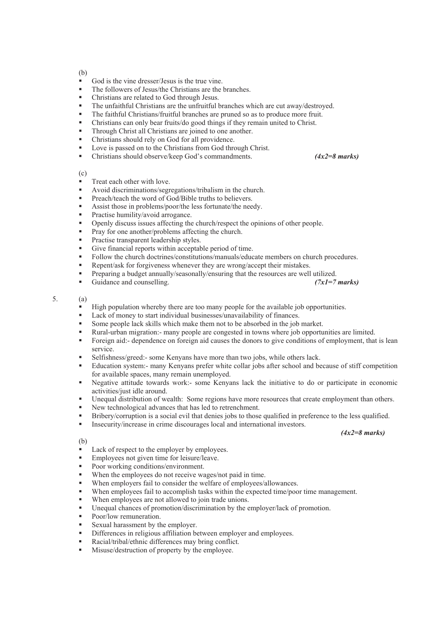(b)

- God is the vine dresser/Jesus is the true vine.
- The followers of Jesus/the Christians are the branches.
- Christians are related to God through Jesus.
- The unfaithful Christians are the unfruitful branches which are cut away/destroyed.
- The faithful Christians/fruitful branches are pruned so as to produce more fruit.
- Christians can only bear fruits/do good things if they remain united to Christ.
- **Through Christ all Christians are joined to one another.**
- Christians should rely on God for all providence.
- **Love is passed on to the Christians from God through Christ.**
- Christians should observe/keep God's commandments. *(4x2=8 marks)*

(c)

- Treat each other with love.
- Avoid discriminations/segregations/tribalism in the church.
- **Preach/teach the word of God/Bible truths to believers.**
- Assist those in problems/poor/the less fortunate/the needy.
- Practise humility/avoid arrogance.
- Openly discuss issues affecting the church/respect the opinions of other people.
- Pray for one another/problems affecting the church.
- Practise transparent leadership styles.
- Give financial reports within acceptable period of time.
- Follow the church doctrines/constitutions/manuals/educate members on church procedures.
- Repent/ask for forgiveness whenever they are wrong/accept their mistakes.
- 
- **Preparing a budget annually/seasonally/ensuring that the resources are well utilized.**<br>Guidance and counselling. ( $7xI = 7$  marks) Guidance and counselling.

## 5. (a)

- $\blacksquare$  High population whereby there are too many people for the available job opportunities.
- Lack of money to start individual businesses/unavailability of finances.
- Some people lack skills which make them not to be absorbed in the job market.
- Rural-urban migration:- many people are congested in towns where job opportunities are limited.
- Foreign aid:- dependence on foreign aid causes the donors to give conditions of employment, that is lean service.
- Selfishness/greed:- some Kenyans have more than two jobs, while others lack.
- Education system:- many Kenyans prefer white collar jobs after school and because of stiff competition for available spaces, many remain unemployed.
- Negative attitude towards work:- some Kenyans lack the initiative to do or participate in economic activities/just idle around.
- Unequal distribution of wealth: Some regions have more resources that create employment than others.
- New technological advances that has led to retrenchment.
- Bribery/corruption is a social evil that denies jobs to those qualified in preference to the less qualified.
- Insecurity/increase in crime discourages local and international investors.

*(4x2=8 marks)*

- (b)
- Lack of respect to the employer by employees.
- Employees not given time for leisure/leave.
- Poor working conditions/environment.
- When the employees do not receive wages/not paid in time.
- When employers fail to consider the welfare of employees/allowances.
- When employees fail to accomplish tasks within the expected time/poor time management.
- When employees are not allowed to join trade unions.
- Unequal chances of promotion/discrimination by the employer/lack of promotion.
- Poor/low remuneration.
- Sexual harassment by the employer.
- Differences in religious affiliation between employer and employees.
- Racial/tribal/ethnic differences may bring conflict.
- Misuse/destruction of property by the employee.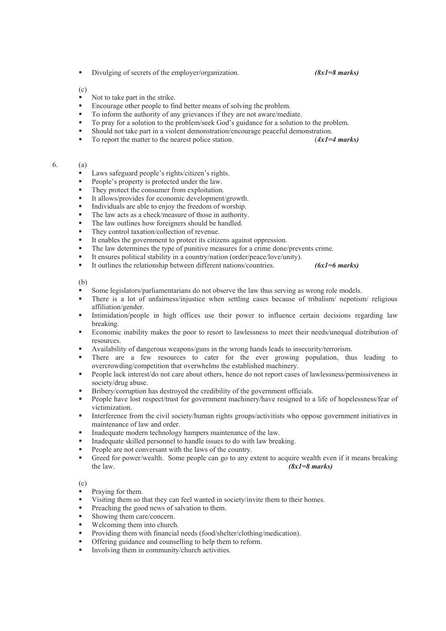■ Divulging of secrets of the employer/organization. *(8x1=8 marks)* 

(c)

- Not to take part in the strike.
- Encourage other people to find better means of solving the problem.
- To inform the authority of any grievances if they are not aware/mediate.
- To pray for a solution to the problem/seek God's guidance for a solution to the problem.
- Should not take part in a violent demonstration/encourage peaceful demonstration.
- To report the matter to the nearest police station. (4x1=4 marks)
- 6. (a)
	- Laws safeguard people's rights/citizen's rights.
	- People's property is protected under the law.
	- They protect the consumer from exploitation.
	- It allows/provides for economic development/growth.
	- Individuals are able to enjoy the freedom of worship.
	- The law acts as a check/measure of those in authority.
	- The law outlines how foreigners should be handled.
	- They control taxation/collection of revenue.
	- It enables the government to protect its citizens against oppression.
	- The law determines the type of punitive measures for a crime done/prevents crime.
	- It ensures political stability in a country/nation (order/peace/love/unity).
	- It outlines the relationship between different nations/countries. *(6x1 = 6 marks)*

(b)

- Some legislators/parliamentarians do not observe the law thus serving as wrong role models.<br>There is a lot of unfairness/injustice when settling cases because of tribalism/ penoties
- There is a lot of unfairness/injustice when settling cases because of tribalism/ nepotism/ religious affiliation/gender.
- Intimidation/people in high offices use their power to influence certain decisions regarding law breaking.
- Economic inability makes the poor to resort to lawlessness to meet their needs/unequal distribution of resources.
- Availability of dangerous weapons/guns in the wrong hands leads to insecurity/terrorism.
- There are a few resources to cater for the ever growing population, thus leading to overcrowding/competition that overwhelms the established machinery.
- People lack interest/do not care about others, hence do not report cases of lawlessness/permissiveness in society/drug abuse.
- **Bribery/corruption has destroyed the credibility of the government officials.**
- People have lost respect/trust for government machinery/have resigned to a life of hopelessness/fear of victimization.
- Interference from the civil society/human rights groups/activitists who oppose government initiatives in maintenance of law and order.
- Inadequate modern technology hampers maintenance of the law.
- Inadequate skilled personnel to handle issues to do with law breaking.
- People are not conversant with the laws of the country.
- Greed for power/wealth. Some people can go to any extent to acquire wealth even if it means breaking the law.  $(8xI=8 \text{ marks})$

(c)

- Praying for them.
- Visiting them so that they can feel wanted in society/invite them to their homes.
- Preaching the good news of salvation to them.
- Showing them care/concern.
- Welcoming them into church.
- Providing them with financial needs (food/shelter/clothing/medication).
- Offering guidance and counselling to help them to reform.
- Involving them in community/church activities.